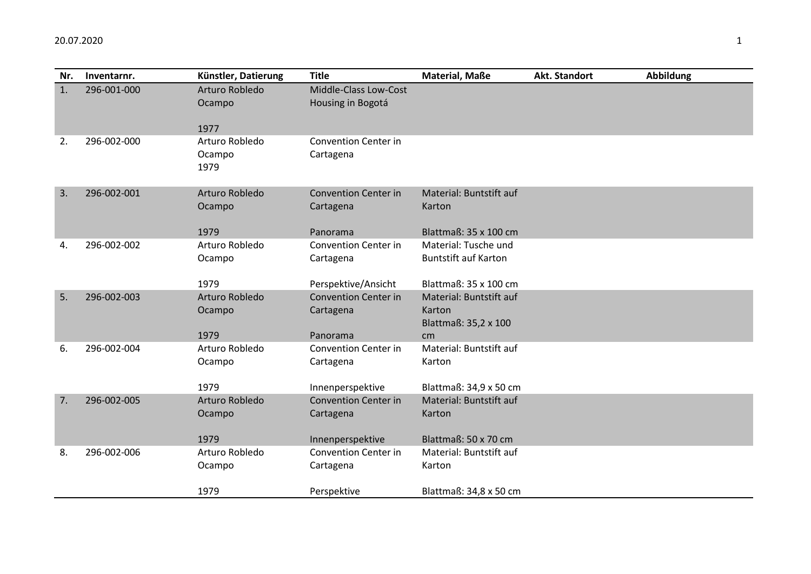| Nr. | Inventarnr. | Künstler, Datierung | <b>Title</b>                | Material, Maße                    | Akt. Standort | <b>Abbildung</b> |
|-----|-------------|---------------------|-----------------------------|-----------------------------------|---------------|------------------|
| 1.  | 296-001-000 | Arturo Robledo      | Middle-Class Low-Cost       |                                   |               |                  |
|     |             | Ocampo              | Housing in Bogotá           |                                   |               |                  |
|     |             | 1977                |                             |                                   |               |                  |
| 2.  | 296-002-000 | Arturo Robledo      | <b>Convention Center in</b> |                                   |               |                  |
|     |             | Ocampo              | Cartagena                   |                                   |               |                  |
|     |             | 1979                |                             |                                   |               |                  |
|     |             |                     |                             |                                   |               |                  |
| 3.  | 296-002-001 | Arturo Robledo      | <b>Convention Center in</b> | Material: Buntstift auf           |               |                  |
|     |             | Ocampo              | Cartagena                   | Karton                            |               |                  |
|     |             | 1979                | Panorama                    | Blattmaß: 35 x 100 cm             |               |                  |
| 4.  | 296-002-002 | Arturo Robledo      | <b>Convention Center in</b> | Material: Tusche und              |               |                  |
|     |             | Ocampo              | Cartagena                   | <b>Buntstift auf Karton</b>       |               |                  |
|     |             |                     |                             |                                   |               |                  |
|     |             | 1979                | Perspektive/Ansicht         | Blattmaß: 35 x 100 cm             |               |                  |
| 5.  | 296-002-003 | Arturo Robledo      | <b>Convention Center in</b> | Material: Buntstift auf           |               |                  |
|     |             | Ocampo              | Cartagena                   | Karton                            |               |                  |
|     |             |                     |                             | Blattmaß: 35,2 x 100              |               |                  |
|     |             | 1979                | Panorama                    | cm                                |               |                  |
| 6.  | 296-002-004 | Arturo Robledo      | <b>Convention Center in</b> | Material: Buntstift auf<br>Karton |               |                  |
|     |             | Ocampo              | Cartagena                   |                                   |               |                  |
|     |             | 1979                | Innenperspektive            | Blattmaß: 34,9 x 50 cm            |               |                  |
| 7.  | 296-002-005 | Arturo Robledo      | <b>Convention Center in</b> | Material: Buntstift auf           |               |                  |
|     |             | Ocampo              | Cartagena                   | Karton                            |               |                  |
|     |             |                     |                             |                                   |               |                  |
|     |             | 1979                | Innenperspektive            | Blattmaß: 50 x 70 cm              |               |                  |
| 8.  | 296-002-006 | Arturo Robledo      | <b>Convention Center in</b> | Material: Buntstift auf           |               |                  |
|     |             | Ocampo              | Cartagena                   | Karton                            |               |                  |
|     |             |                     |                             |                                   |               |                  |
|     |             | 1979                | Perspektive                 | Blattmaß: 34,8 x 50 cm            |               |                  |